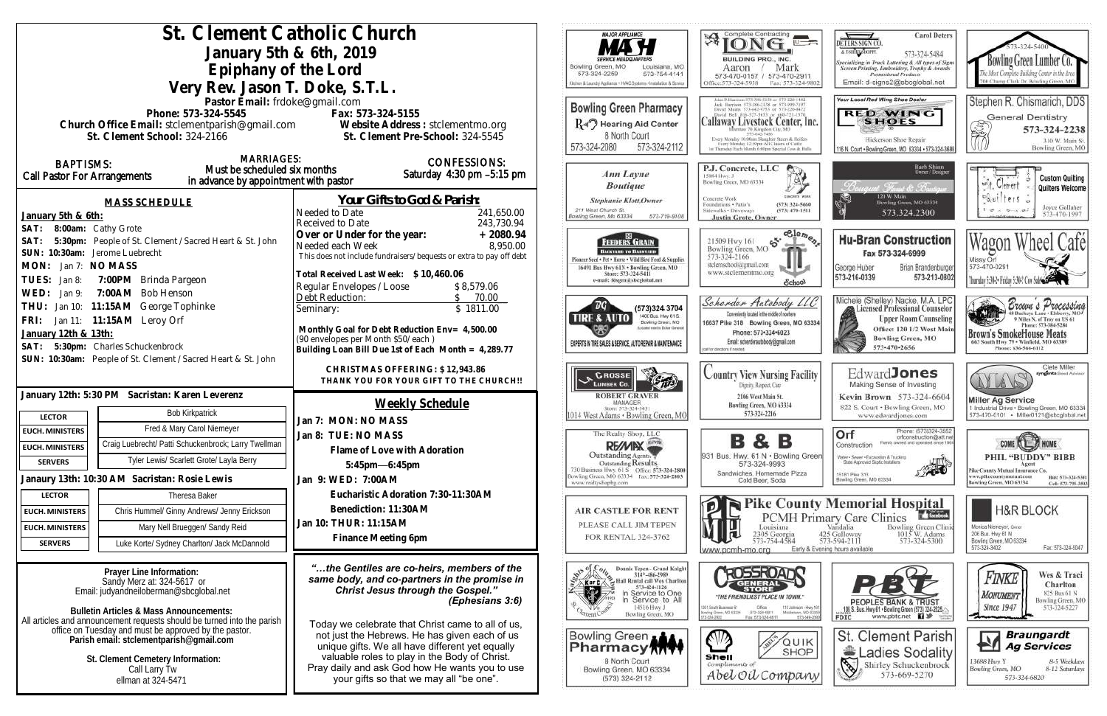| St. Clement Catholic Church                                                                                                   |                                                                                                     | MAJOR APPLIANCE                                                                                                                                                                                                                                                       | Complete Contracting<br>孑                                                                                                                         |
|-------------------------------------------------------------------------------------------------------------------------------|-----------------------------------------------------------------------------------------------------|-----------------------------------------------------------------------------------------------------------------------------------------------------------------------------------------------------------------------------------------------------------------------|---------------------------------------------------------------------------------------------------------------------------------------------------|
| January 5th & 6th, 2019                                                                                                       |                                                                                                     |                                                                                                                                                                                                                                                                       |                                                                                                                                                   |
| Epiphany of the Lord                                                                                                          | Bowling Green, MO<br>Louisiana, MO                                                                  | <b>BUILDING PRO., INC.</b><br>Mark<br>Aaron                                                                                                                                                                                                                           |                                                                                                                                                   |
| Very Rev. Jason T. Doke, S.T.L.                                                                                               | 573-324-2259<br>573-754-4141<br>Ocher & Laundry Appliance + HVAC Systems + Installation & Senice    | 573-470-0157 / 573-470-291<br>Office: 573-324-5958<br>Fax: 573-324-9                                                                                                                                                                                                  |                                                                                                                                                   |
| Pastor Email: frdoke@gmail.com                                                                                                |                                                                                                     |                                                                                                                                                                                                                                                                       | ahn P. Harrison 373-386-5150 or -573-220-1482<br>Jack Harrison 573-386-2138 or 573-999-7197                                                       |
| Phone: 573-324-5545                                                                                                           | Fax: 573-324-5155                                                                                   | <b>Bowling Green Pharmacy</b>                                                                                                                                                                                                                                         | David Means 573-642-9753 or 573-220-047.<br>David Bell 816-327-5633 or 666-721-137                                                                |
| Church Office Email: stclementparish@gmail.com Website Address : stclementmo.org                                              |                                                                                                     | $R_{\psi}$ Hearing Aid Center<br>8 North Court                                                                                                                                                                                                                        | Callaway Livestock Center, In<br>Illumtuo 70, Kingdon City, MO<br>573-647-7496                                                                    |
| St. Clement School: 324-2166                                                                                                  | St. Clement Pre-School: 324-5545                                                                    | 573-324-2080<br>573-324-2112                                                                                                                                                                                                                                          | Every Monday 10:00ain Slaughor Steers & Heiler<br>Every Monday, 12:30pm All Classes of Cattle<br>1 / Thunday Each Munth 6 00mm Soccial Cow & Bull |
| <b>MARRIAGES:</b><br><b>BAPTISMS:</b>                                                                                         | <b>CONFESSIONS:</b>                                                                                 |                                                                                                                                                                                                                                                                       |                                                                                                                                                   |
| Must be scheduled six months<br><b>Call Pastor For Arrangements</b><br>in advance by appointment with pastor                  | Saturday 4:30 pm -5:15 pm                                                                           | Ann Layne                                                                                                                                                                                                                                                             | P.J. Concrete, LLC<br>15084 Hwy. J<br>Bowling Green, MO 63334                                                                                     |
|                                                                                                                               |                                                                                                     | <b>Boutique</b>                                                                                                                                                                                                                                                       |                                                                                                                                                   |
| <b>MASS SCHEDULE</b>                                                                                                          | Your Gifts to God & Parish:<br>Needed to Date                                                       | <b>Stephanie Klott, Owner</b><br>211 West Church St.                                                                                                                                                                                                                  | Concrete Work<br>Foundations · Patio's<br>(573) 324-5666<br>Sidewalks . Driveways<br>$(573)$ 470-151                                              |
| January 5th & 6th:                                                                                                            | 241,650.00<br>243,730.94<br>Received to Date                                                        | Bowling Green, Mo 63334<br>573-719-9108                                                                                                                                                                                                                               | <b>Justin Grote, Owner</b>                                                                                                                        |
| 8:00am: Cathy Grote<br>SAT:<br>5:30pm: People of St. Clement / Sacred Heart & St. John<br>SAT:                                | Over or Under for the year:<br>$+2080.94$                                                           | <b>FEEDERS GRAIN</b>                                                                                                                                                                                                                                                  | $e^{e}$<br>$\mathfrak{S}^{\mathfrak{c}}$<br>21509 Hwy 161                                                                                         |
| SUN: 10:30am: Jerome Luebrecht                                                                                                | 8,950.00<br>Needed each Week<br>This does not include fundraisers/bequests or extra to pay off debt | BACKYARD TO BARNYARD                                                                                                                                                                                                                                                  | Bowling Green, MO<br>573-324-2166                                                                                                                 |
| MON: Jan 7: NO MASS                                                                                                           |                                                                                                     | Pioneer Seed . Pet . Horse . Wild Bird Feed & Supplies<br>16491 Bus Hwy 61N . Bowling Green, MO                                                                                                                                                                       | stelemschool@gmail.com<br>www.stclementmo.org                                                                                                     |
| TUES:<br>7:00PM Brinda Pargeon<br>Jan 8:                                                                                      | Total Received Last Week: \$10,460.06<br>Regular Envelopes / Loose<br>\$8,579.06                    | Store: 573-324-5411<br>e-mail: fdsgrn@sbcglobal.net                                                                                                                                                                                                                   | School                                                                                                                                            |
| WED:<br>7:00AM Bob Henson<br>Jan 9:                                                                                           | Debt Reduction:<br>70.00                                                                            |                                                                                                                                                                                                                                                                       | Scherder Autobody LL                                                                                                                              |
| 11:15AM George Tophinke<br>THU:<br>Jan 10:                                                                                    | \$1811.00<br>Seminary:                                                                              | (573)324 3704<br>1400 Bus. Hwy 61 S.<br>TIRE & AUTO                                                                                                                                                                                                                   | Conveniently located in the middle of nowhere                                                                                                     |
| Jan 11: 11:15AM Leroy Orf<br>FRI:                                                                                             | Monthly Goal for Debt Reduction Env= 4,500.00                                                       | Bowling Green, MO<br>coloci need in Dollar Generic                                                                                                                                                                                                                    | 16637 Pike 318 Bowling Green, MO 63<br>Phone: 573-324-6023                                                                                        |
| January 12th & 13th:<br>5:30pm: Charles Schuckenbrock<br>SAT:                                                                 | (90 envelopes per Month \$50/each)                                                                  | EXPERTS IN TIRE SALES & SERVICE, AUTO REPAIR & MAINTENANCE                                                                                                                                                                                                            | Email: scherderautobody@gmail.com<br>call for directorys if needed.                                                                               |
| SUN: 10:30am: People of St. Clement / Sacred Heart & St. John                                                                 | Building Loan Bill Due 1st of Each Month = 4,289.77                                                 |                                                                                                                                                                                                                                                                       |                                                                                                                                                   |
|                                                                                                                               | CHRISTMAS OFFERING: \$12,943.86                                                                     | <b>CROSSE</b>                                                                                                                                                                                                                                                         | <b>Country View Nursing Facil</b>                                                                                                                 |
|                                                                                                                               | THANK YOU FOR YOUR GIFT TO THE CHURCH!!                                                             | <b>LUMBER CO.</b>                                                                                                                                                                                                                                                     | Dignity, Respect, Care                                                                                                                            |
| January 12th: 5:30 PM Sacristan: Karen Leverenz                                                                               | Weekly Schedule                                                                                     | <b>ROBERT GRAVER</b><br>MANAGER<br>Sixee: 573-324-5431                                                                                                                                                                                                                | 2106 West Main St.<br>Bowling Green, MO 63334                                                                                                     |
| <b>Bob Kirkpatrick</b><br><b>LECTOR</b>                                                                                       | Jan 7: MON: NO MASS                                                                                 | 1014 West Adams . Bowling Green, MO                                                                                                                                                                                                                                   | 573-324-2216                                                                                                                                      |
| Fred & Mary Carol Niemeyer<br><b>EUCH. MINISTERS</b>                                                                          | Jan 8: TUE: NO MASS                                                                                 | The Realty Shop, LLC                                                                                                                                                                                                                                                  |                                                                                                                                                   |
| Craig Luebrecht/ Patti Schuckenbrock; Larry Twellman<br><b>EUCH. MINISTERS</b>                                                | Flame of Love with Adoration                                                                        | RE/MIX<br>Outstanding Agents.                                                                                                                                                                                                                                         | в<br>В<br>&<br>931 Bus. Hwy. 61 N . Bowling Gr                                                                                                    |
| Tyler Lewis/ Scarlett Grote/ Layla Berry<br><b>SERVERS</b>                                                                    | $5:45$ pm-6:45pm                                                                                    | Outstanding Results.                                                                                                                                                                                                                                                  | 573-324-9993                                                                                                                                      |
| Janaury 13th: 10:30 AM Sacristan: Rosie Lewis                                                                                 | Jan 9: WED: 7:00AM                                                                                  | Bowling Green, MO 63334 Fax: 573-324-2803<br>www.realtyshopbg.com                                                                                                                                                                                                     | Sandwiches, Homemade Pizza<br>Cold Beer, Soda                                                                                                     |
| Theresa Baker<br><b>LECTOR</b>                                                                                                | Eucharistic Adoration 7:30-11:30AM                                                                  |                                                                                                                                                                                                                                                                       |                                                                                                                                                   |
| Chris Hummel/ Ginny Andrews/ Jenny Erickson<br><b>EUCH. MINISTERS</b>                                                         | Benediction: 11:30AM                                                                                | <b>AIR CASTLE FOR RENT</b>                                                                                                                                                                                                                                            | Pike Coun<br>PCMH P                                                                                                                               |
| Mary Nell Brueggen/ Sandy Reid<br><b>EUCH. MINISTERS</b>                                                                      | Jan 10: THUR: 11:15AM                                                                               | PLEASE CALL JIM TEPEN                                                                                                                                                                                                                                                 | Louisiana                                                                                                                                         |
| Luke Korte/ Sydney Charlton/ Jack McDannold<br><b>SERVERS</b>                                                                 | Finance Meeting 6pm                                                                                 | FOR RENTAL 324-3762                                                                                                                                                                                                                                                   | 2305 Georgia<br>573-754-4584<br>Early 8                                                                                                           |
|                                                                                                                               |                                                                                                     |                                                                                                                                                                                                                                                                       | www.pcmh-mo.org                                                                                                                                   |
| Prayer Line Information:                                                                                                      | "the Gentiles are co-heirs, members of the<br>same body, and co-partners in the promise in          | Donnie Tepen - Grand Knight<br>314*-486-2989<br>$\begin{array}{r} 0 \bigcup_{k \in \mathbb{Z}} \text{Domain} \quad \text{Open-Grand Knight} \\ \hline 314^* - 486 - 2989 \\ \hline \text{K or } \text{C} \bigotimes \text{Hall Rential call Wes Charlon} \end{array}$ | <b>ROSSROAN</b>                                                                                                                                   |
| Sandy Merz at: 324-5617 or<br>Email: judyandneiloberman@sbcqlobal.net                                                         | <b>Christ Jesus through the Gospel."</b>                                                            | 573-424-1126<br>In Service to One<br>In Service to All                                                                                                                                                                                                                | STORE                                                                                                                                             |
|                                                                                                                               | (Ephesians 3:6)                                                                                     | 14516 Hwy J                                                                                                                                                                                                                                                           | "THE FRIENDLIEST PLACE IN TOWN."<br>101. South Business (101)<br>Offices<br>110 Johnson - H                                                       |
| <b>Bulletin Articles &amp; Mass Announcements:</b><br>All articles and announcement requests should be turned into the parish | Today we celebrate that Christ came to all of us,                                                   | Bowling Green, MO                                                                                                                                                                                                                                                     | 373-326-6811<br>Mittletown, MO<br>Bowling Green, MO 83334<br>Fax: 573-324-6811                                                                    |
| office on Tuesday and must be approved by the pastor.<br>Parish email: stclementparish@gmail.com                              | not just the Hebrews. He has given each of us                                                       | Bowling Green                                                                                                                                                                                                                                                         |                                                                                                                                                   |
|                                                                                                                               | unique gifts. We all have different yet equally                                                     | Pharmacy <b>ATTY</b>                                                                                                                                                                                                                                                  | QUII<br><b>SHOP</b>                                                                                                                               |
| St. Clement Cemetery Information:<br>Call Larry Tw                                                                            | valuable roles to play in the Body of Christ.<br>Pray daily and ask God how He wants you to use     | 8 North Court<br>Bowling Green, MO 63334                                                                                                                                                                                                                              | Shell<br>Compliments of                                                                                                                           |
| ellman at 324-5471                                                                                                            | your gifts so that we may all "be one".                                                             | (573) 324-2112                                                                                                                                                                                                                                                        | Abel Oil Compar                                                                                                                                   |